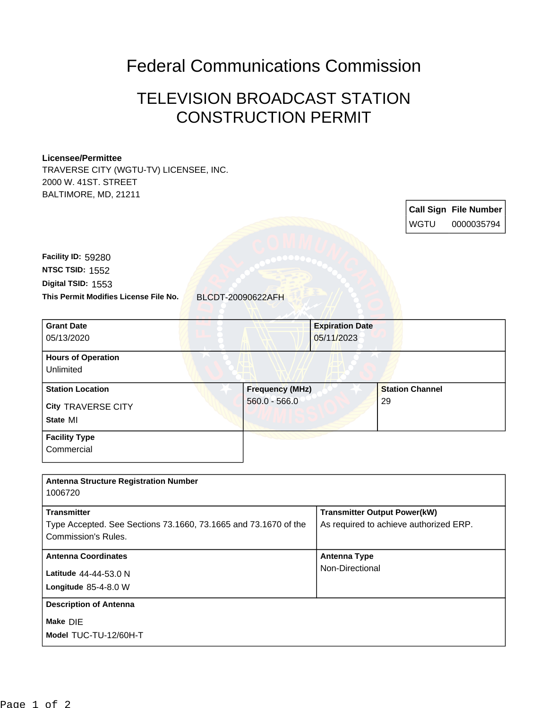## Federal Communications Commission

# TELEVISION BROADCAST STATION CONSTRUCTION PERMIT

#### **Licensee/Permittee**

TRAVERSE CITY (WGTU-TV) LICENSEE, INC. 2000 W. 41ST. STREET BALTIMORE, MD, 21211

**Call Sign File Number** WGTU 0000035794 **This Permit Modifies License File No.** BLCDT-20090622AFH **Digital TSID:** 1553 **NTSC TSID:** 1552 **Facility ID:** 59280 **State** MI **City** TRAVERSE CITY **Grant Date** 05/13/2020 **Expiration Date** 05/11/2023 **Hours of Operation** Unlimited **Station Location Frequency (MHz)** 560.0 - 566.0 **Station Channel** 29 **Facility Type Commercial Antenna Structure Registration Number** 1006720 **Transmitter** Type Accepted. See Sections 73.1660, 73.1665 and 73.1670 of the Commission's Rules. **Transmitter Output Power(kW)** As required to achieve authorized ERP.

### **Model** TUC-TU-12/60H-T **Make** DIE **Longitude** 85-4-8.0 W **Latitude** 44-44-53.0 N **Antenna Coordinates Antenna Type** Non-Directional **Description of Antenna**